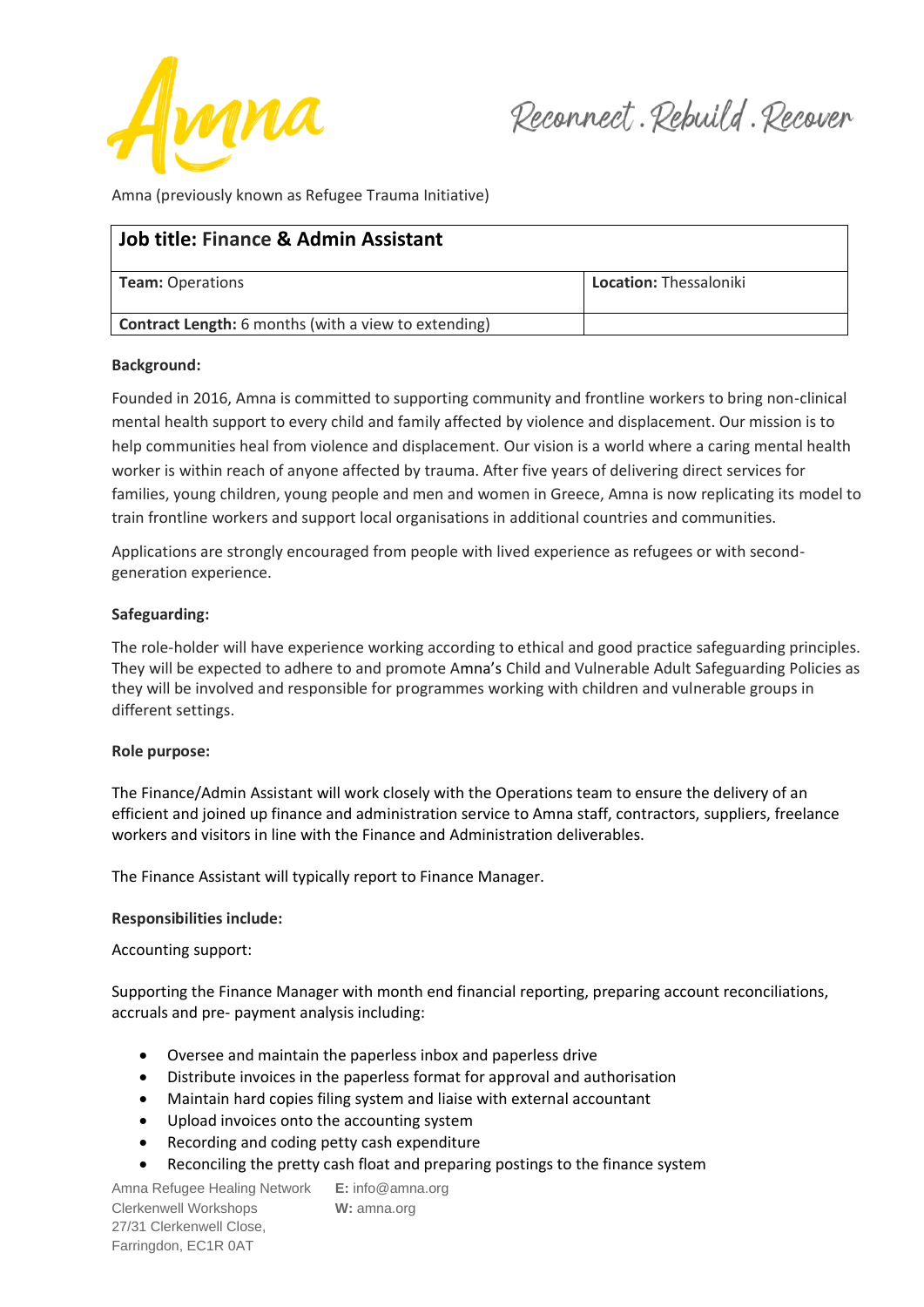

Amna (previously known as Refugee Trauma Initiative)

| <b>Job title: Finance &amp; Admin Assistant</b>             |                               |
|-------------------------------------------------------------|-------------------------------|
| <b>Team: Operations</b>                                     | <b>Location: Thessaloniki</b> |
| <b>Contract Length:</b> 6 months (with a view to extending) |                               |

### **Background:**

Founded in 2016, Amna is committed to supporting community and frontline workers to bring non-clinical mental health support to every child and family affected by violence and displacement. Our mission is to help communities heal from violence and displacement. Our vision is a world where a caring mental health worker is within reach of anyone affected by trauma. After five years of delivering direct services for families, young children, young people and men and women in Greece, Amna is now replicating its model to train frontline workers and support local organisations in additional countries and communities.

Applications are strongly encouraged from people with lived experience as refugees or with secondgeneration experience.

## **Safeguarding:**

The role-holder will have experience working according to ethical and good practice safeguarding principles. They will be expected to adhere to and promote Amna's Child and Vulnerable Adult Safeguarding Policies as they will be involved and responsible for programmes working with children and vulnerable groups in different settings.

### **Role purpose:**

The Finance/Admin Assistant will work closely with the Operations team to ensure the delivery of an efficient and joined up finance and administration service to Amna staff, contractors, suppliers, freelance workers and visitors in line with the Finance and Administration deliverables.

The Finance Assistant will typically report to Finance Manager.

### **Responsibilities include:**

### Accounting support:

Supporting the Finance Manager with month end financial reporting, preparing account reconciliations, accruals and pre- payment analysis including:

- Oversee and maintain the paperless inbox and paperless drive
- Distribute invoices in the paperless format for approval and authorisation
- Maintain hard copies filing system and liaise with external accountant
- Upload invoices onto the accounting system
- Recording and coding petty cash expenditure
- Reconciling the pretty cash float and preparing postings to the finance system

Amna Refugee Healing Network **E:** info@amna.org Clerkenwell Workshops **W:** amna.org 27/31 Clerkenwell Close, Farringdon, EC1R 0AT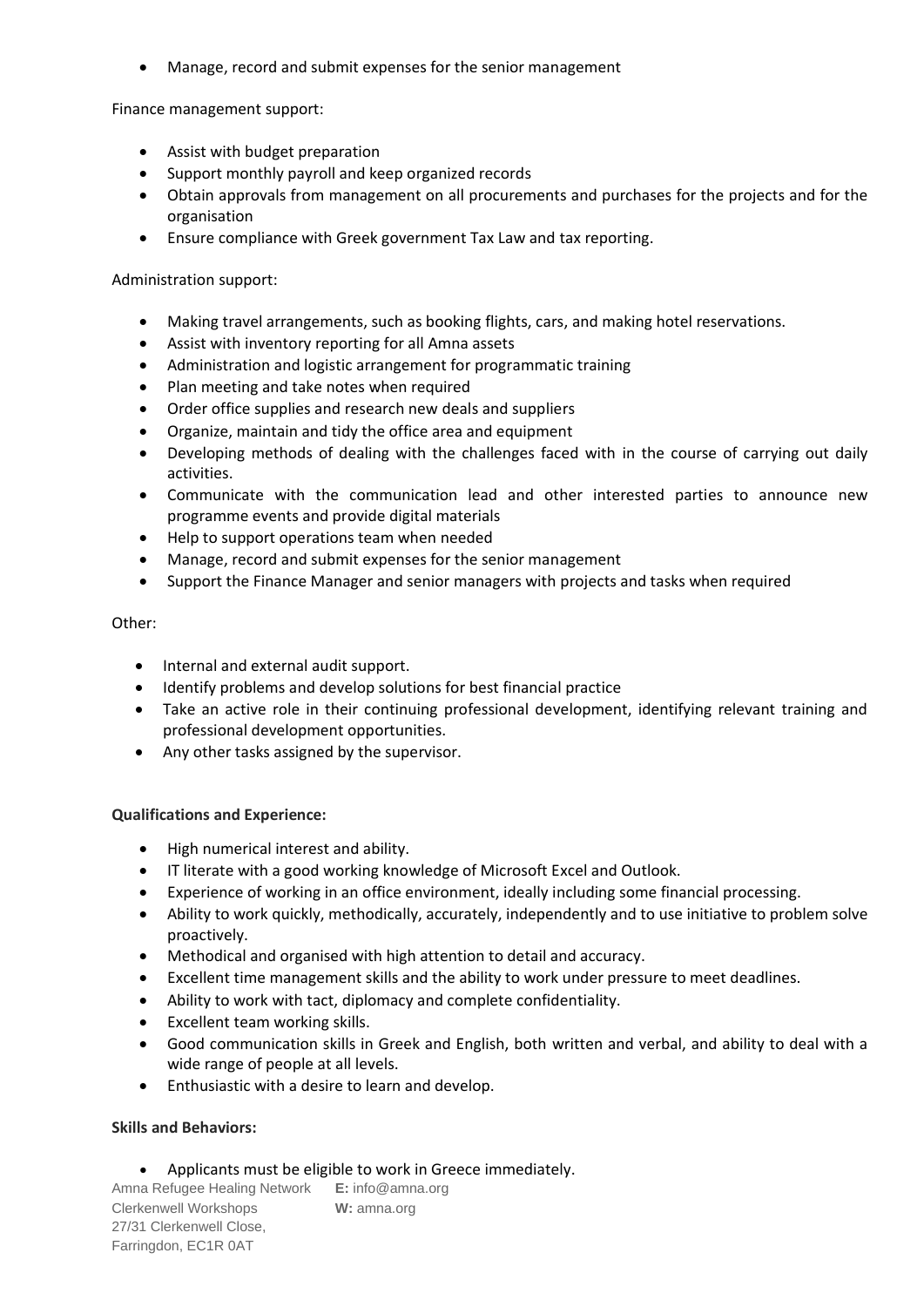• Manage, record and submit expenses for the senior management

Finance management support:

- Assist with budget preparation
- Support monthly payroll and keep organized records
- Obtain approvals from management on all procurements and purchases for the projects and for the organisation
- Ensure compliance with Greek government Tax Law and tax reporting.

Administration support:

- Making travel arrangements, such as booking flights, cars, and making hotel reservations.
- Assist with inventory reporting for all Amna assets
- Administration and logistic arrangement for programmatic training
- Plan meeting and take notes when required
- Order office supplies and research new deals and suppliers
- Organize, maintain and tidy the office area and equipment
- Developing methods of dealing with the challenges faced with in the course of carrying out daily activities.
- Communicate with the communication lead and other interested parties to announce new programme events and provide digital materials
- Help to support operations team when needed
- Manage, record and submit expenses for the senior management
- Support the Finance Manager and senior managers with projects and tasks when required

## Other:

- Internal and external audit support.
- Identify problems and develop solutions for best financial practice
- Take an active role in their continuing professional development, identifying relevant training and professional development opportunities.
- Any other tasks assigned by the supervisor.

# **Qualifications and Experience:**

- High numerical interest and ability.
- IT literate with a good working knowledge of Microsoft Excel and Outlook.
- Experience of working in an office environment, ideally including some financial processing.
- Ability to work quickly, methodically, accurately, independently and to use initiative to problem solve proactively.
- Methodical and organised with high attention to detail and accuracy.
- Excellent time management skills and the ability to work under pressure to meet deadlines.
- Ability to work with tact, diplomacy and complete confidentiality.
- Excellent team working skills.
- Good communication skills in Greek and English, both written and verbal, and ability to deal with a wide range of people at all levels.
- Enthusiastic with a desire to learn and develop.

# **Skills and Behaviors:**

• Applicants must be eligible to work in Greece immediately.

Amna Refugee Healing Network **E:** info@amna.org Clerkenwell Workshops **W:** amna.org 27/31 Clerkenwell Close, Farringdon, EC1R 0AT